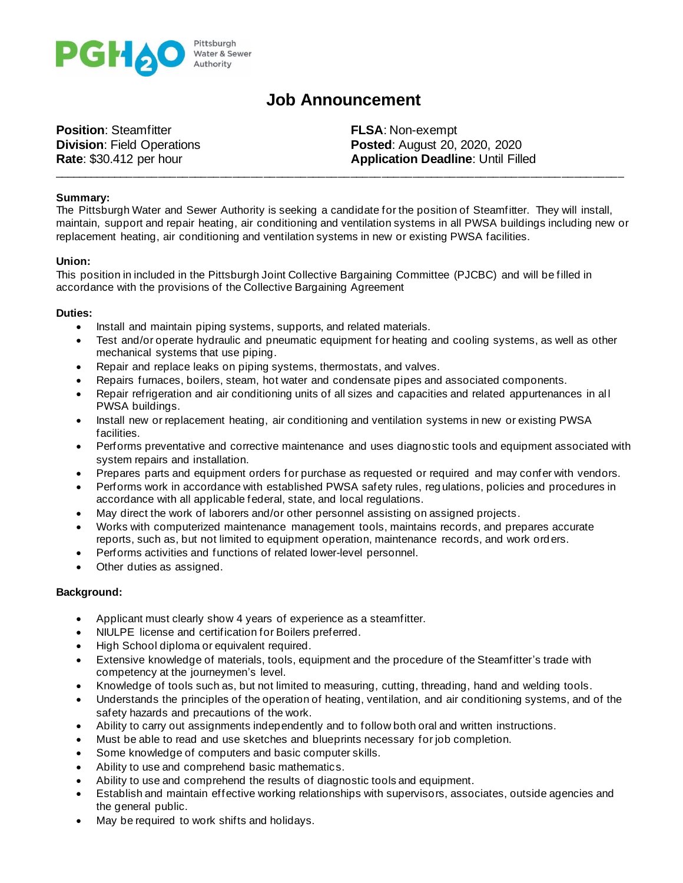

# **Job Announcement**

**Position**: Steamfitter **FLSA**: Non-exempt

**Division**: Field Operations **Posted**: August 20, 2020, 2020 **Rate: \$30.412 per hour <b>Application Deadline**: Until Filled

### **Summary:**

The Pittsburgh Water and Sewer Authority is seeking a candidate for the position of Steamfitter. They will install, maintain, support and repair heating, air conditioning and ventilation systems in all PWSA buildings including new or replacement heating, air conditioning and ventilation systems in new or existing PWSA facilities.

\_\_\_\_\_\_\_\_\_\_\_\_\_\_\_\_\_\_\_\_\_\_\_\_\_\_\_\_\_\_\_\_\_\_\_\_\_\_\_\_\_\_\_\_\_\_\_\_\_\_\_\_\_\_\_\_\_\_\_\_\_\_\_\_\_\_\_\_\_\_\_\_\_\_\_\_\_\_\_\_\_\_\_\_\_\_\_\_\_\_\_\_

### **Union:**

This position in included in the Pittsburgh Joint Collective Bargaining Committee (PJCBC) and will be filled in accordance with the provisions of the Collective Bargaining Agreement

### **Duties:**

- Install and maintain piping systems, supports, and related materials.
- Test and/or operate hydraulic and pneumatic equipment for heating and cooling systems, as well as other mechanical systems that use piping.
- Repair and replace leaks on piping systems, thermostats, and valves.
- Repairs furnaces, boilers, steam, hot water and condensate pipes and associated components.
- Repair refrigeration and air conditioning units of all sizes and capacities and related appurtenances in al l PWSA buildings.
- Install new or replacement heating, air conditioning and ventilation systems in new or existing PWSA facilities.
- Performs preventative and corrective maintenance and uses diagnostic tools and equipment associated with system repairs and installation.
- Prepares parts and equipment orders for purchase as requested or required and may confer with vendors.
- Performs work in accordance with established PWSA safety rules, reg ulations, policies and procedures in accordance with all applicable federal, state, and local regulations.
- May direct the work of laborers and/or other personnel assisting on assigned projects.
- Works with computerized maintenance management tools, maintains records, and prepares accurate reports, such as, but not limited to equipment operation, maintenance records, and work orders.
- Performs activities and functions of related lower-level personnel.
- Other duties as assigned.

## **Background:**

- Applicant must clearly show 4 years of experience as a steamfitter.
- NIULPE license and certification for Boilers preferred.
- High School diploma or equivalent required.
- Extensive knowledge of materials, tools, equipment and the procedure of the Steamfitter's trade with competency at the journeymen's level.
- Knowledge of tools such as, but not limited to measuring, cutting, threading, hand and welding tools.
- Understands the principles of the operation of heating, ventilation, and air conditioning systems, and of the safety hazards and precautions of the work.
- Ability to carry out assignments independently and to follow both oral and written instructions.
- Must be able to read and use sketches and blueprints necessary for job completion.
- Some knowledge of computers and basic computer skills.
- Ability to use and comprehend basic mathematics.
- Ability to use and comprehend the results of diagnostic tools and equipment.
- Establish and maintain effective working relationships with supervisors, associates, outside agencies and the general public.
- May be required to work shifts and holidays.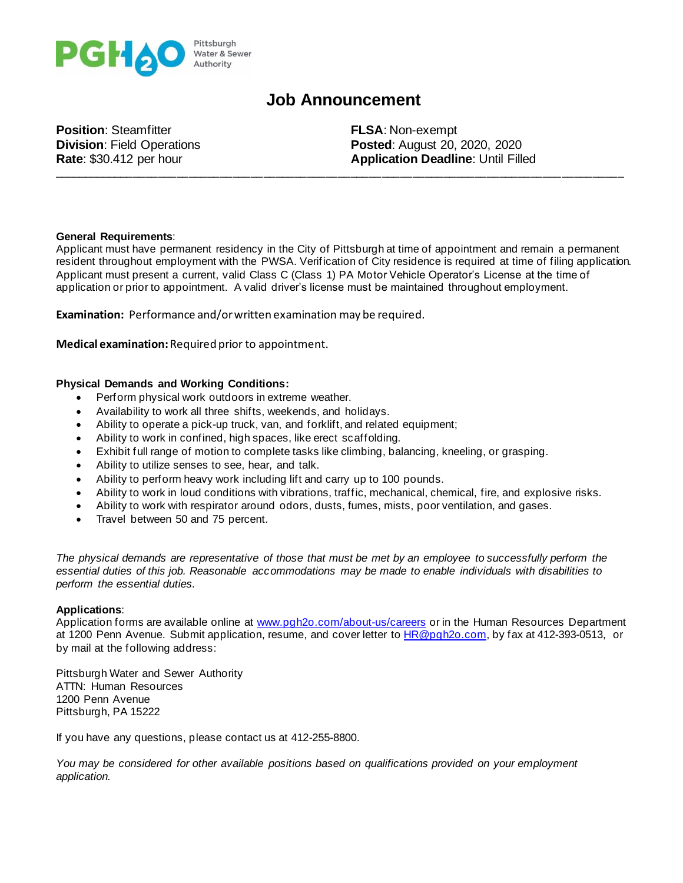

# **Job Announcement**

\_\_\_\_\_\_\_\_\_\_\_\_\_\_\_\_\_\_\_\_\_\_\_\_\_\_\_\_\_\_\_\_\_\_\_\_\_\_\_\_\_\_\_\_\_\_\_\_\_\_\_\_\_\_\_\_\_\_\_\_\_\_\_\_\_\_\_\_\_\_\_\_\_\_\_\_\_\_\_\_\_\_\_\_\_\_\_\_\_\_\_\_

**Position**: Steamfitter **FLSA**: Non-exempt

**Division**: Field Operations **Posted**: August 20, 2020, 2020 **Rate: \$30.412 per hour <b>Application Deadline**: Until Filled

### **General Requirements**:

Applicant must have permanent residency in the City of Pittsburgh at time of appointment and remain a permanent resident throughout employment with the PWSA. Verification of City residence is required at time of filing application. Applicant must present a current, valid Class C (Class 1) PA Motor Vehicle Operator's License at the time of application or prior to appointment. A valid driver's license must be maintained throughout employment.

**Examination:** Performance and/or written examination may be required.

**Medical examination:**Required prior to appointment.

### **Physical Demands and Working Conditions:**

- Perform physical work outdoors in extreme weather.
- Availability to work all three shifts, weekends, and holidays.
- Ability to operate a pick-up truck, van, and forklift, and related equipment;
- Ability to work in confined, high spaces, like erect scaffolding.
- Exhibit full range of motion to complete tasks like climbing, balancing, kneeling, or grasping.
- Ability to utilize senses to see, hear, and talk.
- Ability to perform heavy work including lift and carry up to 100 pounds.
- Ability to work in loud conditions with vibrations, traffic, mechanical, chemical, fire, and explosive risks.
- Ability to work with respirator around odors, dusts, fumes, mists, poor ventilation, and gases.
- Travel between 50 and 75 percent.

*The physical demands are representative of those that must be met by an employee to successfully perform the essential duties of this job. Reasonable accommodations may be made to enable individuals with disabilities to perform the essential duties.*

#### **Applications**:

Application forms are available online at [www.pgh2o.com/about-us/careers](http://www.pgh2o.com/about-us/careers) or in the Human Resources Department at 1200 Penn Avenue. Submit application, resume, and cover letter to [HR@pgh2o.com,](mailto:HR@pgh2o.com) by fax at 412-393-0513, or by mail at the following address:

Pittsburgh Water and Sewer Authority ATTN: Human Resources 1200 Penn Avenue Pittsburgh, PA 15222

If you have any questions, please contact us at 412-255-8800.

*You may be considered for other available positions based on qualifications provided on your employment application.*